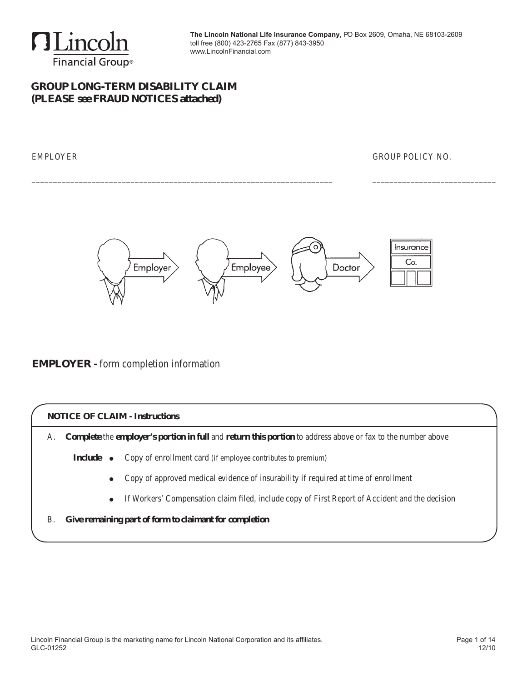

## **GROUP long-term disability claim (PLEASE see FRAUD NOTICES attached)**

EMPLOYER GROUP POLICY NO.



\_\_\_\_\_\_\_\_\_\_\_\_\_\_\_\_\_\_\_\_\_\_\_\_\_\_\_\_\_\_\_\_\_\_\_\_\_\_\_\_\_\_\_\_\_\_\_\_\_\_\_\_\_\_\_\_\_\_\_\_\_\_\_\_\_\_\_\_\_\_ \_\_\_\_\_\_\_\_\_\_\_\_\_\_\_\_\_\_\_\_\_\_\_\_\_\_\_\_\_

### **EMPLOYER -** form completion information

#### **NOTICE OF CLAIM - Instructions**

A. **Complete** the **employer's portion in full** and **return this portion** to address above or fax to the number above

- **Include** Copy of enrollment card (if employee contributes to premium)
	- Copy of approved medical evidence of insurability if required at time of enrollment
	- If Workers' Compensation claim filed, include copy of First Report of Accident and the decision
- B. **Give remaining part of form to claimant for completion**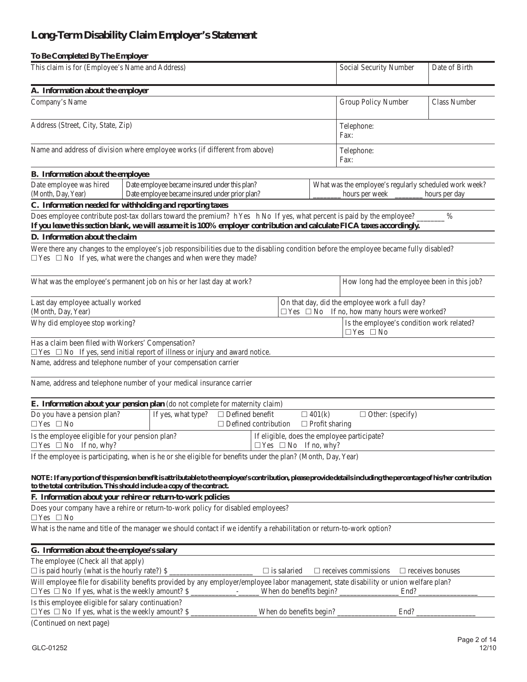# **Long-Term Disability Claim Employer's Statement**

| To Be Completed By The Employer                                                                                                                                                                                                                  |  |                                                                                                 |                                                       |  |                    |                                        |                                                                          |                                                                                                           |                         |  |
|--------------------------------------------------------------------------------------------------------------------------------------------------------------------------------------------------------------------------------------------------|--|-------------------------------------------------------------------------------------------------|-------------------------------------------------------|--|--------------------|----------------------------------------|--------------------------------------------------------------------------|-----------------------------------------------------------------------------------------------------------|-------------------------|--|
| This claim is for (Employee's Name and Address)                                                                                                                                                                                                  |  |                                                                                                 |                                                       |  |                    | Social Security Number                 |                                                                          | Date of Birth                                                                                             |                         |  |
| A. Information about the employer                                                                                                                                                                                                                |  |                                                                                                 |                                                       |  |                    |                                        |                                                                          |                                                                                                           |                         |  |
| Company's Name                                                                                                                                                                                                                                   |  |                                                                                                 |                                                       |  |                    |                                        | Group Policy Number                                                      |                                                                                                           | Class Number            |  |
| Address (Street, City, State, Zip)                                                                                                                                                                                                               |  |                                                                                                 |                                                       |  |                    |                                        | Telephone:<br>Fax:                                                       |                                                                                                           |                         |  |
| Name and address of division where employee works (if different from above)                                                                                                                                                                      |  |                                                                                                 |                                                       |  |                    |                                        | Telephone:<br>Fax:                                                       |                                                                                                           |                         |  |
| B. Information about the employee                                                                                                                                                                                                                |  |                                                                                                 |                                                       |  |                    |                                        |                                                                          |                                                                                                           |                         |  |
| Date employee was hired<br>(Month, Day, Year)                                                                                                                                                                                                    |  | Date employee became insured under this plan?<br>Date employee became insured under prior plan? |                                                       |  |                    |                                        | What was the employee's regularly scheduled work week?<br>hours per week |                                                                                                           | hours per day           |  |
| C. Information needed for withholding and reporting taxes                                                                                                                                                                                        |  |                                                                                                 |                                                       |  |                    |                                        |                                                                          |                                                                                                           |                         |  |
| Does employee contribute post-tax dollars toward the premium? h Yes h No If yes, what percent is paid by the employee?<br>If you leave this section blank, we will assume it is 100% employer contribution and calculate FICA taxes accordingly. |  |                                                                                                 |                                                       |  |                    |                                        |                                                                          |                                                                                                           | $\%$                    |  |
| D. Information about the claim                                                                                                                                                                                                                   |  |                                                                                                 |                                                       |  |                    |                                        |                                                                          |                                                                                                           |                         |  |
| Were there any changes to the employee's job responsibilities due to the disabling condition before the employee became fully disabled?<br>$\Box$ Yes $\Box$ No If yes, what were the changes and when were they made?                           |  |                                                                                                 |                                                       |  |                    |                                        |                                                                          |                                                                                                           |                         |  |
| What was the employee's permanent job on his or her last day at work?                                                                                                                                                                            |  |                                                                                                 |                                                       |  |                    |                                        |                                                                          | How long had the employee been in this job?                                                               |                         |  |
| Last day employee actually worked<br>(Month, Day, Year)                                                                                                                                                                                          |  |                                                                                                 |                                                       |  |                    |                                        |                                                                          | On that day, did the employee work a full day?<br>$\Box$ Yes $\Box$ No If no, how many hours were worked? |                         |  |
| Why did employee stop working?                                                                                                                                                                                                                   |  |                                                                                                 |                                                       |  |                    |                                        | $\Box$ Yes $\Box$ No                                                     | Is the employee's condition work related?                                                                 |                         |  |
| Has a claim been filed with Workers' Compensation?<br>$\Box$ Yes $\Box$ No If yes, send initial report of illness or injury and award notice.                                                                                                    |  |                                                                                                 |                                                       |  |                    |                                        |                                                                          |                                                                                                           |                         |  |
| Name, address and telephone number of your compensation carrier                                                                                                                                                                                  |  |                                                                                                 |                                                       |  |                    |                                        |                                                                          |                                                                                                           |                         |  |
| Name, address and telephone number of your medical insurance carrier                                                                                                                                                                             |  |                                                                                                 |                                                       |  |                    |                                        |                                                                          |                                                                                                           |                         |  |
| E. Information about your pension plan (do not complete for maternity claim)                                                                                                                                                                     |  |                                                                                                 |                                                       |  |                    |                                        |                                                                          |                                                                                                           |                         |  |
| Do you have a pension plan?<br>$\Box$ Yes $\Box$ No                                                                                                                                                                                              |  | If yes, what type?                                                                              | $\Box$ Defined benefit<br>$\Box$ Defined contribution |  |                    | $\Box$ 401(k)<br>$\Box$ Profit sharing | $\Box$ Other: (specify)                                                  |                                                                                                           |                         |  |
| Is the employee eligible for your pension plan?<br>$\Box$ Yes $\Box$ No If no, why?                                                                                                                                                              |  |                                                                                                 |                                                       |  |                    | $\Box$ Yes $\Box$ No If no, why?       | If eligible, does the employee participate?                              |                                                                                                           |                         |  |
| If the employee is participating, when is he or she eligible for benefits under the plan? (Month, Day, Year)                                                                                                                                     |  |                                                                                                 |                                                       |  |                    |                                        |                                                                          |                                                                                                           |                         |  |
| NOTE: If any portion of this pension benefit is attributable to the employee's contribution, please provide details including the percentage of his/her contribution<br>to the total contribution. This should include a copy of the contract.   |  |                                                                                                 |                                                       |  |                    |                                        |                                                                          |                                                                                                           |                         |  |
| F. Information about your rehire or return-to-work policies                                                                                                                                                                                      |  |                                                                                                 |                                                       |  |                    |                                        |                                                                          |                                                                                                           |                         |  |
| Does your company have a rehire or return-to-work policy for disabled employees?<br>$\Box$ Yes $\Box$ No                                                                                                                                         |  |                                                                                                 |                                                       |  |                    |                                        |                                                                          |                                                                                                           |                         |  |
| What is the name and title of the manager we should contact if we identify a rehabilitation or return-to-work option?                                                                                                                            |  |                                                                                                 |                                                       |  |                    |                                        |                                                                          |                                                                                                           |                         |  |
| G. Information about the employee's salary                                                                                                                                                                                                       |  |                                                                                                 |                                                       |  |                    |                                        |                                                                          |                                                                                                           |                         |  |
| The employee (Check all that apply)<br>$\Box$ is paid hourly (what is the hourly rate?) \$                                                                                                                                                       |  |                                                                                                 |                                                       |  | $\Box$ is salaried |                                        | $\Box$ receives commissions                                              |                                                                                                           | $\Box$ receives bonuses |  |
| Will employee file for disability benefits provided by any employer/employee labor management, state disability or union welfare plan?<br>$\Box$ Yes $\Box$ No If yes, what is the weekly amount? \$                                             |  |                                                                                                 |                                                       |  |                    |                                        | When do benefits begin?                                                  | End?                                                                                                      |                         |  |
| Is this employee eligible for salary continuation?<br>$\Box$ Yes $\Box$ No If yes, what is the weekly amount? \$                                                                                                                                 |  |                                                                                                 |                                                       |  |                    |                                        | When do benefits begin?                                                  | End?                                                                                                      |                         |  |
| (Continued on next page)                                                                                                                                                                                                                         |  |                                                                                                 |                                                       |  |                    |                                        |                                                                          |                                                                                                           |                         |  |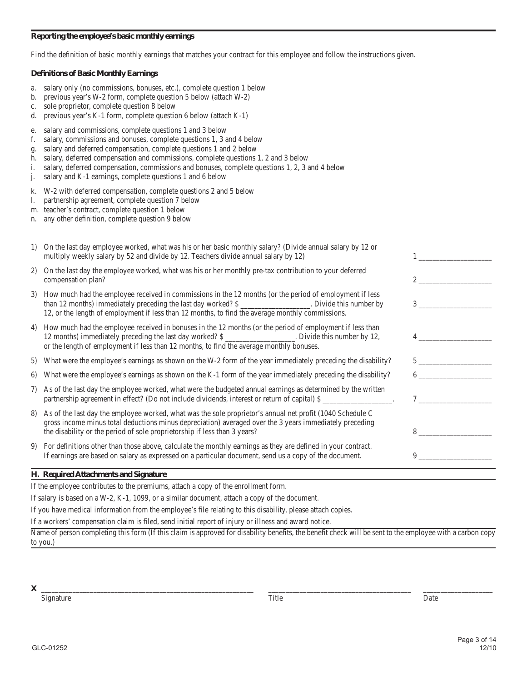#### **Reporting the employee's basic monthly earnings**

Find the definition of basic monthly earnings that matches your contract for this employee and follow the instructions given.

#### **Definitions of Basic Monthly Earnings**

- a. salary only (no commissions, bonuses, etc.), complete question 1 below
- b. previous year's W-2 form, complete question 5 below (attach W-2)
- c. sole proprietor, complete question 8 below
- d. previous year's K-1 form, complete question 6 below (attach  $K-1$ )
- e. salary and commissions, complete questions 1 and 3 below
- f. salary, commissions and bonuses, complete questions 1, 3 and 4 below
- g. salary and deferred compensation, complete questions 1 and 2 below
- h. salary, deferred compensation and commissions, complete questions 1, 2 and 3 below
- i. salary, deferred compensation, commissions and bonuses, complete questions 1, 2, 3 and 4 below
- j. salary and K-1 earnings, complete questions 1 and 6 below
- k. W-2 with deferred compensation, complete questions 2 and 5 below
- l. partnership agreement, complete question 7 below
- m. teacher's contract, complete question 1 below
- n. any other definition, complete question 9 below

|    | On the last day employee worked, what was his or her basic monthly salary? (Divide annual salary by 12 or<br>multiply weekly salary by 52 and divide by 12. Teachers divide annual salary by 12)                                                                                                     |                |
|----|------------------------------------------------------------------------------------------------------------------------------------------------------------------------------------------------------------------------------------------------------------------------------------------------------|----------------|
| 2) | On the last day the employee worked, what was his or her monthly pre-tax contribution to your deferred<br>compensation plan?                                                                                                                                                                         |                |
|    | 3) How much had the employee received in commissions in the 12 months (or the period of employment if less<br>than 12 months) immediately preceding the last day worked? \$<br>12, or the length of employment if less than 12 months, to find the average monthly commissions.                      | $\overline{3}$ |
|    | 4) How much had the employee received in bonuses in the 12 months (or the period of employment if less than<br>12 months) immediately preceding the last day worked? \$<br>or the length of employment if less than 12 months, to find the average monthly bonuses.                                  |                |
| 5) | What were the employee's earnings as shown on the W-2 form of the year immediately preceding the disability?                                                                                                                                                                                         |                |
| 6) | What were the employee's earnings as shown on the K-1 form of the year immediately preceding the disability?                                                                                                                                                                                         |                |
|    | 7) As of the last day the employee worked, what were the budgeted annual earnings as determined by the written<br>partnership agreement in effect? (Do not include dividends, interest or return of capital) \$                                                                                      |                |
|    | 8) As of the last day the employee worked, what was the sole proprietor's annual net profit (1040 Schedule C<br>gross income minus total deductions minus depreciation) averaged over the 3 years immediately preceding<br>the disability or the period of sole proprietorship if less than 3 years? | 8              |
|    | 9) For definitions other than those above, calculate the monthly earnings as they are defined in your contract.<br>If earnings are based on salary as expressed on a particular document, send us a copy of the document.                                                                            | 9              |
|    |                                                                                                                                                                                                                                                                                                      |                |

#### **H. Required Attachments and Signature**

If the employee contributes to the premiums, attach a copy of the enrollment form.

If salary is based on a W-2, K-1, 1099, or a similar document, attach a copy of the document.

If you have medical information from the employee's file relating to this disability, please attach copies.

If a workers' compensation claim is filed, send initial report of injury or illness and award notice.

Name of person completing this form (If this claim is approved for disability benefits, the benefit check will be sent to the employee with a carbon copy to you.)

**X** \_\_\_\_\_\_\_\_\_\_\_\_\_\_\_\_\_\_\_\_\_\_\_\_\_\_\_\_\_\_\_\_\_\_\_\_\_\_\_\_\_\_\_\_\_\_\_\_\_\_\_\_\_\_\_\_\_\_\_\_\_ \_\_\_\_\_\_\_\_\_\_\_\_\_\_\_\_\_\_\_\_\_\_\_\_\_\_\_\_\_\_\_\_\_\_\_\_\_\_\_\_\_ \_\_\_\_\_\_\_\_\_\_\_\_\_\_\_\_\_\_\_\_

 Signature Title Date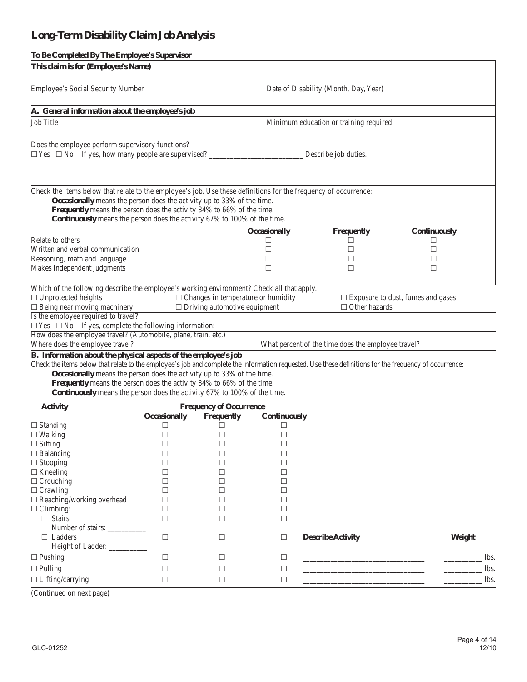# **Long-Term Disability Claim Job Analysis**

### **To Be Completed By The Employee's Supervisor**

| This claim is for (Employee's Name)                                                                                                                    |                     |                                           |                     |                                                    |                                          |  |  |
|--------------------------------------------------------------------------------------------------------------------------------------------------------|---------------------|-------------------------------------------|---------------------|----------------------------------------------------|------------------------------------------|--|--|
| Employee's Social Security Number<br>Date of Disability (Month, Day, Year)                                                                             |                     |                                           |                     |                                                    |                                          |  |  |
| A. General information about the employee's job                                                                                                        |                     |                                           |                     |                                                    |                                          |  |  |
| <b>Job Title</b>                                                                                                                                       |                     |                                           |                     | Minimum education or training required             |                                          |  |  |
| Does the employee perform supervisory functions?<br>$\Box$ Yes $\Box$ No If yes, how many people are supervised?<br>Describe job duties.               |                     |                                           |                     |                                                    |                                          |  |  |
|                                                                                                                                                        |                     |                                           |                     |                                                    |                                          |  |  |
| Check the items below that relate to the employee's job. Use these definitions for the frequency of occurrence:                                        |                     |                                           |                     |                                                    |                                          |  |  |
| Occasionally means the person does the activity up to 33% of the time.                                                                                 |                     |                                           |                     |                                                    |                                          |  |  |
| Frequently means the person does the activity 34% to 66% of the time.                                                                                  |                     |                                           |                     |                                                    |                                          |  |  |
| Continuously means the person does the activity 67% to 100% of the time.                                                                               |                     |                                           |                     |                                                    |                                          |  |  |
|                                                                                                                                                        |                     |                                           | <b>Occasionally</b> | Frequently                                         | Continuously                             |  |  |
| Relate to others                                                                                                                                       |                     |                                           | □                   | □                                                  | П                                        |  |  |
| Written and verbal communication                                                                                                                       |                     |                                           | □                   | $\Box$                                             | □                                        |  |  |
| Reasoning, math and language                                                                                                                           |                     |                                           | □                   | $\Box$                                             | □                                        |  |  |
| Makes independent judgments                                                                                                                            |                     |                                           | $\Box$              | □                                                  | □                                        |  |  |
| Which of the following describe the employee's working environment? Check all that apply.                                                              |                     |                                           |                     |                                                    |                                          |  |  |
| $\Box$ Unprotected heights                                                                                                                             |                     | $\Box$ Changes in temperature or humidity |                     |                                                    | $\Box$ Exposure to dust, fumes and gases |  |  |
| $\Box$ Being near moving machinery                                                                                                                     |                     | $\Box$ Driving automotive equipment       |                     | $\Box$ Other hazards                               |                                          |  |  |
| Is the employee required to travel?                                                                                                                    |                     |                                           |                     |                                                    |                                          |  |  |
| $\Box$ Yes $\Box$ No If yes, complete the following information:                                                                                       |                     |                                           |                     |                                                    |                                          |  |  |
| How does the employee travel? (Automobile, plane, train, etc.)<br>Where does the employee travel?                                                      |                     |                                           |                     | What percent of the time does the employee travel? |                                          |  |  |
| B. Information about the physical aspects of the employee's job                                                                                        |                     |                                           |                     |                                                    |                                          |  |  |
| Check the items below that relate to the employee's job and complete the information requested. Use these definitions for the frequency of occurrence: |                     |                                           |                     |                                                    |                                          |  |  |
| Occasionally means the person does the activity up to 33% of the time.                                                                                 |                     |                                           |                     |                                                    |                                          |  |  |
| Frequently means the person does the activity 34% to 66% of the time.                                                                                  |                     |                                           |                     |                                                    |                                          |  |  |
| Continuously means the person does the activity 67% to 100% of the time.                                                                               |                     |                                           |                     |                                                    |                                          |  |  |
| <b>Activity</b>                                                                                                                                        |                     | <b>Frequency of Occurrence</b>            |                     |                                                    |                                          |  |  |
|                                                                                                                                                        | <b>Occasionally</b> | Frequently                                | Continuously        |                                                    |                                          |  |  |
| $\Box$ Standing                                                                                                                                        | □                   | Ш                                         | ⊔                   |                                                    |                                          |  |  |
| $\Box$ Walking                                                                                                                                         | $\Box$              | $\Box$                                    | □                   |                                                    |                                          |  |  |
| $\Box$ Sitting                                                                                                                                         | $\Box$              | П                                         | П                   |                                                    |                                          |  |  |
| $\Box$ Balancing                                                                                                                                       | $\Box$              | □                                         | $\Box$              |                                                    |                                          |  |  |
| $\Box$ Stooping                                                                                                                                        | П                   | П                                         | П                   |                                                    |                                          |  |  |
| $\Box$ Kneeling                                                                                                                                        | П                   | □                                         | □                   |                                                    |                                          |  |  |
| $\Box$ Crouching                                                                                                                                       | П                   | □                                         | H                   |                                                    |                                          |  |  |
| $\Box$ Crawling                                                                                                                                        | □                   | □                                         | □                   |                                                    |                                          |  |  |
| $\Box$ Reaching/working overhead                                                                                                                       | □                   | □                                         | □                   |                                                    |                                          |  |  |
| $\Box$ Climbing:                                                                                                                                       | □                   | П                                         | □                   |                                                    |                                          |  |  |
| $\Box$ Stairs                                                                                                                                          | П                   | □                                         | □                   |                                                    |                                          |  |  |
| Number of stairs:                                                                                                                                      |                     |                                           |                     |                                                    |                                          |  |  |
| $\Box$ Ladders                                                                                                                                         | □                   | □                                         | □                   | <b>Describe Activity</b>                           | Weight                                   |  |  |
| Height of Ladder: __________                                                                                                                           |                     |                                           |                     |                                                    |                                          |  |  |
| $\Box$ Pushing                                                                                                                                         | □                   | □                                         | □                   |                                                    | lbs.                                     |  |  |
| $\Box$ Pulling                                                                                                                                         | □                   | □                                         | □                   |                                                    | lbs.                                     |  |  |
| $\Box$ Lifting/carrying                                                                                                                                | □                   | □                                         | □                   |                                                    | lbs.                                     |  |  |
|                                                                                                                                                        |                     |                                           |                     |                                                    |                                          |  |  |

(Continued on next page)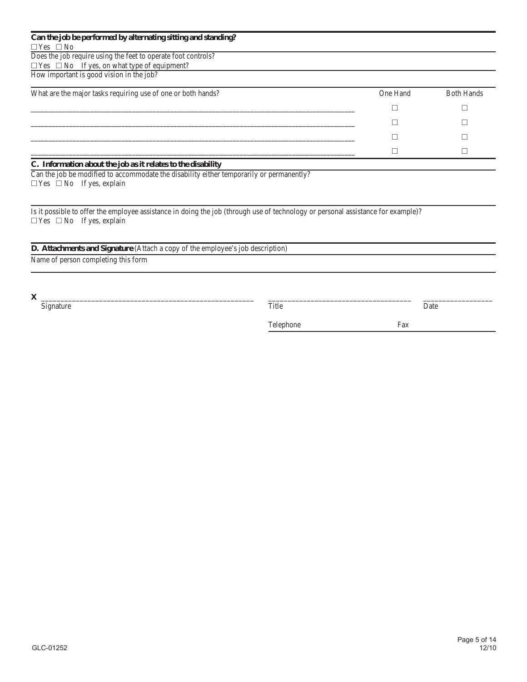| Can the job be performed by alternating sitting and standing? |          |                   |
|---------------------------------------------------------------|----------|-------------------|
| $\Box$ Yes $\Box$ No                                          |          |                   |
| Does the job require using the feet to operate foot controls? |          |                   |
| $\Box$ Yes $\Box$ No If yes, on what type of equipment?       |          |                   |
| How important is good vision in the job?                      |          |                   |
| What are the major tasks requiring use of one or both hands?  | One Hand | <b>Both Hands</b> |
|                                                               |          |                   |
|                                                               |          |                   |
|                                                               |          |                   |
|                                                               |          |                   |
| C. Information about the job as it relates to the disability  |          |                   |

Can the job be modified to accommodate the disability either temporarily or permanently?  $\square$  <br> Yes  $\square$  <br> No If yes, explain

Is it possible to offer the employee assistance in doing the job (through use of technology or personal assistance for example)?  $\square$  <br> Yes  $\square$  <br>No  $\;$  If yes, explain

| D. Attachments and Signature (Attach a copy of the employee's job description) |  |  |  |
|--------------------------------------------------------------------------------|--|--|--|
|                                                                                |  |  |  |

Name of person completing this form

 Signature Title Date

Telephone Fax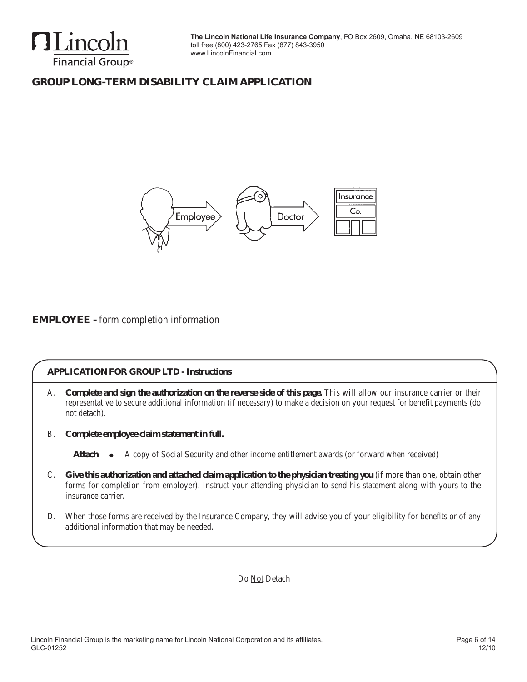

# **GROUP long-term disability claim Application**



## **EMPLOYEE -** form completion information

### **APPLICATION FOR GROUP LTD - Instructions**

- A. **Complete and sign the authorization on the reverse side of this page.** This will allow our insurance carrier or their representative to secure additional information (if necessary) to make a decision on your request for benefit payments (do not detach).
- B. **Complete employee claim statement in full.**

Attach  $\bullet$  A copy of Social Security and other income entitlement awards (or forward when received)

- C. **Give this authorization and attached claim application to the physician treating you** (if more than one, obtain other forms for completion from employer). Instruct your attending physician to send his statement along with yours to the insurance carrier.
- D. When those forms are received by the Insurance Company, they will advise you of your eligibility for benefits or of any additional information that may be needed.

Do Not Detach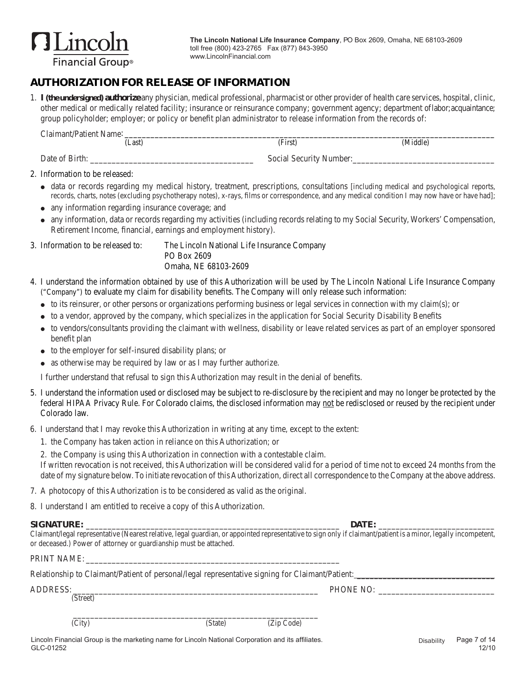

## **AUTHORIZATION FOR RELEASE OF INFORMATION**

1. **I(the undersigned) authorize** any physician, medical professional, pharmacist or other provider of health care services, hospital, clinic, other medical or medically related facility; insurance or reinsurance company; government agency; department oflabor;acquaintance; group policyholder; employer; or policy or benefit plan administrator to release information from the records of:

| Claimant/Patient Name: |                         |          |
|------------------------|-------------------------|----------|
| (Last)                 | (First)                 | (Middle) |
| Date of Birth:         | Social Security Number: |          |

- $\bullet$  data or records regarding my medical history, treatment, prescriptions, consultations [including medical and psychological reports, records, charts, notes (excluding psychotherapy notes), x-rays, films or correspondence, and any medical condition I may now have or have had];
- any information regarding insurance coverage; and
- any information, data or records regarding my activities (including records relating to my Social Security, Workers' Compensation, Retirement Income, financial, earnings and employment history).

3. Information to be released to: The Lincoln National Life Insurance Company PO Box 2609 Omaha, NE 68103-2609

- 4. I understand the information obtained by use of this Authorization will be used by The Lincoln National Life Insurance Company ("Company") to evaluate my claim for disability benefits. The Company will only release such information:
	- $\bullet$  to its reinsurer, or other persons or organizations performing business or legal services in connection with my claim(s); or
	- to a vendor, approved by the company, which specializes in the application for Social Security Disability Benefits
	- to vendors/consultants providing the claimant with wellness, disability or leave related services as part of an employer sponsored benefit plan
	- $\bullet$  to the employer for self-insured disability plans; or
	- as otherwise may be required by law or as I may further authorize.

 I further understand that refusal to sign this Authorization may result in the denial of benefits.

- 5. I understand the information used or disclosed may be subject to re-disclosure by the recipient and may no longer be protected by the federal HIPAA Privacy Rule. For Colorado claims, the disclosed information may not be redisclosed or reused by the recipient under Colorado law.
- 6. I understand that I may revoke this Authorization in writing at any time, except to the extent:
	- 1. the Company has taken action in reliance on this Authorization; or
	- 2. the Company is using this Authorization in connection with a contestable claim.

If written revocation is not received, this Authorization will be considered valid for a period of time not to exceed 24 months from the date of my signature below. To initiate revocation of this Authorization, direct all correspondence to the Company at the above address.

7. A photocopy of this Authorization is to be considered as valid as the original.

8. I understand I am entitled to receive a copy of this Authorization.

#### **SIGNAT URE:** \_\_\_\_\_\_\_\_\_\_\_\_\_\_\_\_\_\_\_\_\_\_\_\_\_\_\_\_\_\_\_\_\_\_\_\_\_\_\_\_\_\_\_\_\_\_\_\_\_\_\_\_\_\_\_\_\_\_\_ **DATE :** \_\_\_\_\_\_\_\_\_\_\_\_\_\_\_\_\_\_\_\_\_\_\_\_\_\_\_

Claimant/legal representative (Nearest relative, legal guardian, or appointed representative to sign only if claimant/patient is a minor, legally incompetent, or deceased.) Power of attorney or guardianship must be attached.

PRINT NAME:

| Relationship to Claimant/Patient of personal/legal representative signing for Claimant/Patient: |  |  |
|-------------------------------------------------------------------------------------------------|--|--|
|                                                                                                 |  |  |

\_\_\_\_\_\_\_\_\_\_\_\_\_\_\_\_\_\_\_\_\_\_\_\_\_\_\_\_\_\_\_\_\_\_\_\_\_\_\_\_\_\_\_\_\_\_\_\_\_\_\_\_\_\_\_\_\_

ADDRESS: PHONE NO: (Street)

(City) (State) (State) (Zip Code)

<sup>2.</sup> Information to be released: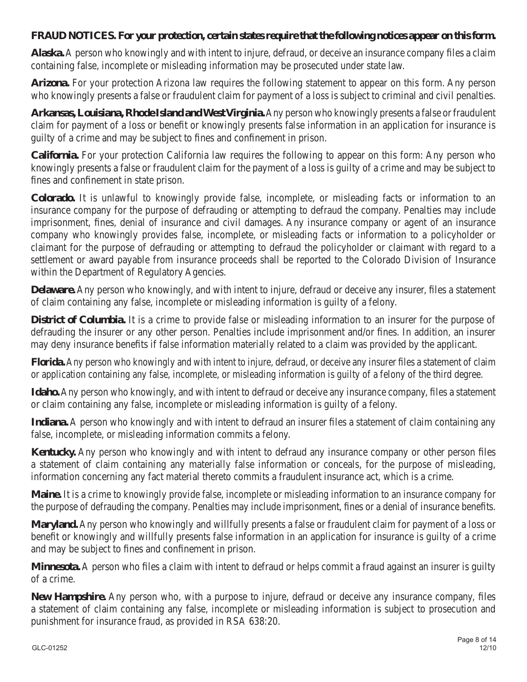## **FRAUD NOTICES. For your protection, certain states require that the following notices appear on this form.**

**Alaska.** A person who knowingly and with intent to injure, defraud, or deceive an insurance company files a claim containing false, incomplete or misleading information may be prosecuted under state law.

**Arizona.** For your protection Arizona law requires the following statement to appear on this form. Any person who knowingly presents a false or fraudulent claim for payment of a loss is subject to criminal and civil penalties.

**Arkansas, Louisiana, Rhode Island and West Virginia.**Any person who knowingly presents a false or fraudulent claim for payment of a loss or benefit or knowingly presents false information in an application for insurance is guilty of a crime and may be subject to fines and confinement in prison.

**California.** For your protection California law requires the following to appear on this form: Any person who knowingly presents a false or fraudulent claim for the payment of a loss is guilty of a crime and may be subject to fines and confinement in state prison.

**Colorado.** It is unlawful to knowingly provide false, incomplete, or misleading facts or information to an insurance company for the purpose of defrauding or attempting to defraud the company. Penalties may include imprisonment, fines, denial of insurance and civil damages. Any insurance company or agent of an insurance company who knowingly provides false, incomplete, or misleading facts or information to a policyholder or claimant for the purpose of defrauding or attempting to defraud the policyholder or claimant with regard to a settlement or award payable from insurance proceeds shall be reported to the Colorado Division of Insurance within the Department of Regulatory Agencies.

**Delaware.** Any person who knowingly, and with intent to injure, defraud or deceive any insurer, files a statement of claim containing any false, incomplete or misleading information is guilty of a felony.

**District of Columbia.** It is a crime to provide false or misleading information to an insurer for the purpose of defrauding the insurer or any other person. Penalties include imprisonment and/or fines. In addition, an insurer may deny insurance benefits if false information materially related to a claim was provided by the applicant.

**Florida.** Any person who knowingly and with intent to injure, defraud, or deceive any insurer files a statement of claim or application containing any false, incomplete, or misleading information is guilty of a felony of the third degree.

**Idaho.** Any person who knowingly, and with intent to defraud or deceive any insurance company, files a statement or claim containing any false, incomplete or misleading information is guilty of a felony.

**Indiana.** A person who knowingly and with intent to defraud an insurer files a statement of claim containing any false, incomplete, or misleading information commits a felony.

**Kentucky.** Any person who knowingly and with intent to defraud any insurance company or other person files a statement of claim containing any materially false information or conceals, for the purpose of misleading, information concerning any fact material thereto commits a fraudulent insurance act, which is a crime.

**Maine.** It is a crime to knowingly provide false, incomplete or misleading information to an insurance company for the purpose of defrauding the company. Penalties may include imprisonment, fines or a denial of insurance benefits.

**Maryland.** Any person who knowingly and willfully presents a false or fraudulent claim for payment of a loss or benefit or knowingly and willfully presents false information in an application for insurance is guilty of a crime and may be subject to fines and confinement in prison.

**Minnesota.** A person who files a claim with intent to defraud or helps commit a fraud against an insurer is guilty of a crime.

**New Hampshire.** Any person who, with a purpose to injure, defraud or deceive any insurance company, files a statement of claim containing any false, incomplete or misleading information is subject to prosecution and punishment for insurance fraud, as provided in RSA 638:20.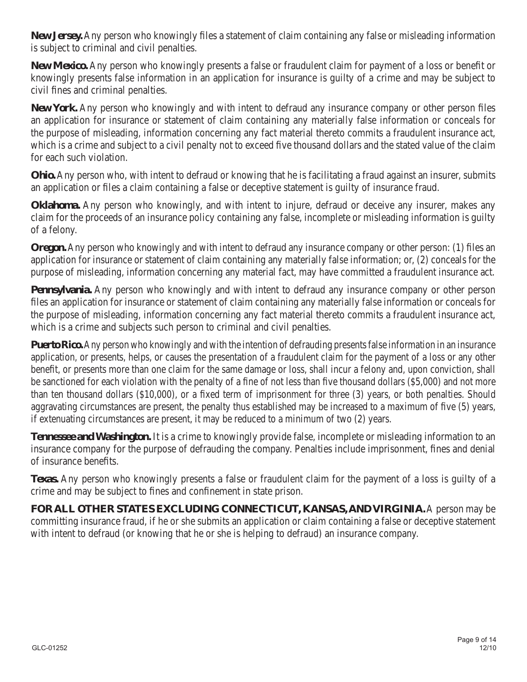**New Jersey.** Any person who knowingly files a statement of claim containing any false or misleading information is subject to criminal and civil penalties.

**New Mexico.** Any person who knowingly presents a false or fraudulent claim for payment of a loss or benefit or knowingly presents false information in an application for insurance is guilty of a crime and may be subject to civil fines and criminal penalties.

**New York.** Any person who knowingly and with intent to defraud any insurance company or other person files an application for insurance or statement of claim containing any materially false information or conceals for the purpose of misleading, information concerning any fact material thereto commits a fraudulent insurance act, which is a crime and subject to a civil penalty not to exceed five thousand dollars and the stated value of the claim for each such violation.

**Ohio.** Any person who, with intent to defraud or knowing that he is facilitating a fraud against an insurer, submits an application or files a claim containing a false or deceptive statement is guilty of insurance fraud.

**Oklahoma.** Any person who knowingly, and with intent to injure, defraud or deceive any insurer, makes any claim for the proceeds of an insurance policy containing any false, incomplete or misleading information is guilty of a felony.

**Oregon.** Any person who knowingly and with intent to defraud any insurance company or other person: (1) files an application for insurance or statement of claim containing any materially false information; or, (2) conceals for the purpose of misleading, information concerning any material fact, may have committed a fraudulent insurance act.

**Pennsylvania.** Any person who knowingly and with intent to defraud any insurance company or other person files an application for insurance or statement of claim containing any materially false information or conceals for the purpose of misleading, information concerning any fact material thereto commits a fraudulent insurance act, which is a crime and subjects such person to criminal and civil penalties.

**Puerto Rico.** Any person who knowingly and with the intention of defrauding presents false information in an insurance application, or presents, helps, or causes the presentation of a fraudulent claim for the payment of a loss or any other benefit, or presents more than one claim for the same damage or loss, shall incur a felony and, upon conviction, shall be sanctioned for each violation with the penalty of a fine of not less than five thousand dollars (\$5,000) and not more than ten thousand dollars (\$10,000), or a fixed term of imprisonment for three (3) years, or both penalties. Should aggravating circumstances are present, the penalty thus established may be increased to a maximum of five (5) years, if extenuating circumstances are present, it may be reduced to a minimum of two (2) years.

**Tennessee and Washington.** It is a crime to knowingly provide false, incomplete or misleading information to an insurance company for the purpose of defrauding the company. Penalties include imprisonment, fines and denial of insurance benefits.

**Texas.** Any person who knowingly presents a false or fraudulent claim for the payment of a loss is guilty of a crime and may be subject to fines and confinement in state prison.

**FOR ALL OTHER STATES EXCLUDING CONNECTICUT, KANSAS, AND VIRGINIA.** A person may be committing insurance fraud, if he or she submits an application or claim containing a false or deceptive statement with intent to defraud (or knowing that he or she is helping to defraud) an insurance company.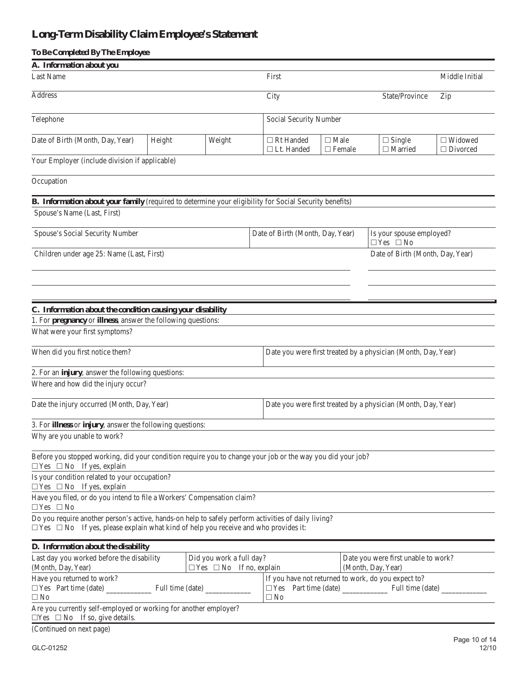# **Long-Term Disability Claim Employee's Statement**

| To Be Completed By The Employee                                                                                                                                                                       |                        |        |                                       |                              |                                                               |                                   |
|-------------------------------------------------------------------------------------------------------------------------------------------------------------------------------------------------------|------------------------|--------|---------------------------------------|------------------------------|---------------------------------------------------------------|-----------------------------------|
| A. Information about you                                                                                                                                                                              |                        |        |                                       |                              |                                                               |                                   |
| Last Name                                                                                                                                                                                             |                        |        | First                                 |                              |                                                               | Middle Initial                    |
| Address                                                                                                                                                                                               |                        |        | City                                  |                              | State/Province                                                | Zip                               |
| Telephone                                                                                                                                                                                             | Social Security Number |        |                                       |                              |                                                               |                                   |
| Date of Birth (Month, Day, Year)                                                                                                                                                                      | Height                 | Weight | $\Box$ Rt Handed<br>$\Box$ Lt. Handed | $\Box$ Male<br>$\Box$ Female | $\Box$ Single<br>$\Box$ Married                               | $\Box$ Widowed<br>$\Box$ Divorced |
| Your Employer (include division if applicable)                                                                                                                                                        |                        |        |                                       |                              |                                                               |                                   |
| Occupation                                                                                                                                                                                            |                        |        |                                       |                              |                                                               |                                   |
| B. Information about your family (required to determine your eligibility for Social Security benefits)                                                                                                |                        |        |                                       |                              |                                                               |                                   |
| Spouse's Name (Last, First)                                                                                                                                                                           |                        |        |                                       |                              |                                                               |                                   |
| Spouse's Social Security Number                                                                                                                                                                       |                        |        | Date of Birth (Month, Day, Year)      |                              | Is your spouse employed?<br>$\Box$ Yes $\Box$ No              |                                   |
| Children under age 25: Name (Last, First)                                                                                                                                                             |                        |        |                                       |                              | Date of Birth (Month, Day, Year)                              |                                   |
| C. Information about the condition causing your disability<br>1. For pregnancy or illness, answer the following questions:<br>What were your first symptoms?                                          |                        |        |                                       |                              |                                                               |                                   |
| When did you first notice them?                                                                                                                                                                       |                        |        |                                       |                              | Date you were first treated by a physician (Month, Day, Year) |                                   |
| 2. For an injury, answer the following questions:                                                                                                                                                     |                        |        |                                       |                              |                                                               |                                   |
| Where and how did the injury occur?                                                                                                                                                                   |                        |        |                                       |                              |                                                               |                                   |
| Date the injury occurred (Month, Day, Year)                                                                                                                                                           |                        |        |                                       |                              | Date you were first treated by a physician (Month, Day, Year) |                                   |
| 3. For illness or injury, answer the following questions:                                                                                                                                             |                        |        |                                       |                              |                                                               |                                   |
| Why are you unable to work?                                                                                                                                                                           |                        |        |                                       |                              |                                                               |                                   |
| Before you stopped working, did your condition require you to change your job or the way you did your job?<br>$\Box$ Yes $\Box$ No If yes, explain                                                    |                        |        |                                       |                              |                                                               |                                   |
| Is your condition related to your occupation?<br>$\Box$ Yes $\Box$ No If yes, explain                                                                                                                 |                        |        |                                       |                              |                                                               |                                   |
| Have you filed, or do you intend to file a Workers' Compensation claim?<br>$\Box$ Yes $\Box$ No                                                                                                       |                        |        |                                       |                              |                                                               |                                   |
| Do you require another person's active, hands-on help to safely perform activities of daily living?<br>$\Box$ Yes $\Box$ No If yes, please explain what kind of help you receive and who provides it: |                        |        |                                       |                              |                                                               |                                   |
| D. Information about the disability                                                                                                                                                                   |                        |        |                                       |                              |                                                               |                                   |

| Last day you worked before the disability                        | Did you work a full day?            |                                                     | Date you were first unable to work? |  |  |  |
|------------------------------------------------------------------|-------------------------------------|-----------------------------------------------------|-------------------------------------|--|--|--|
| (Month, Day, Year)                                               | $\Box$ Yes $\Box$ No If no, explain |                                                     | (Month, Day, Year)                  |  |  |  |
| Have you returned to work?                                       |                                     | If you have not returned to work, do you expect to? |                                     |  |  |  |
| $\Box$ Yes Part time (date)<br>Full time (date)                  |                                     | Part time (date)<br>$\Box$ Yes                      | Full time (date)                    |  |  |  |
| $\Box$ No                                                        |                                     | $\Box$ No                                           |                                     |  |  |  |
| Are you currently self-employed or working for another employer? |                                     |                                                     |                                     |  |  |  |
| $\Box$ Yes $\Box$ No If so, give details.                        |                                     |                                                     |                                     |  |  |  |
| $\sim$ $\sim$ $\sim$ $\sim$ $\sim$                               |                                     |                                                     |                                     |  |  |  |

(Continued on next page)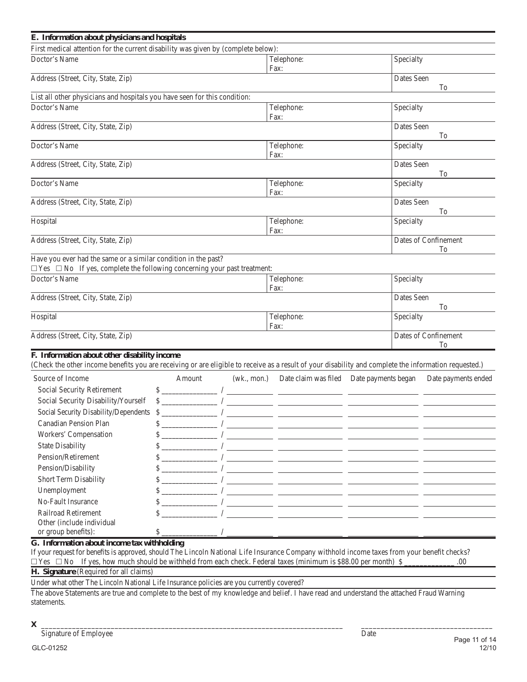| E. Information about physicians and hospitals                                                                                                                                                         |                    |           |                                                                                                                                                                                                                                                                                                                                                                                                         |                  |                            |
|-------------------------------------------------------------------------------------------------------------------------------------------------------------------------------------------------------|--------------------|-----------|---------------------------------------------------------------------------------------------------------------------------------------------------------------------------------------------------------------------------------------------------------------------------------------------------------------------------------------------------------------------------------------------------------|------------------|----------------------------|
| First medical attention for the current disability was given by (complete below):                                                                                                                     |                    |           |                                                                                                                                                                                                                                                                                                                                                                                                         |                  |                            |
| Doctor's Name                                                                                                                                                                                         |                    |           | Telephone:<br>Fax:                                                                                                                                                                                                                                                                                                                                                                                      | Specialty        |                            |
| Address (Street, City, State, Zip)                                                                                                                                                                    |                    |           |                                                                                                                                                                                                                                                                                                                                                                                                         | Dates Seen       | To                         |
| List all other physicians and hospitals you have seen for this condition:                                                                                                                             |                    |           |                                                                                                                                                                                                                                                                                                                                                                                                         |                  |                            |
| Doctor's Name                                                                                                                                                                                         | Telephone:<br>Fax: | Specialty |                                                                                                                                                                                                                                                                                                                                                                                                         |                  |                            |
| Address (Street, City, State, Zip)                                                                                                                                                                    |                    |           |                                                                                                                                                                                                                                                                                                                                                                                                         | Dates Seen       | To                         |
| Doctor's Name                                                                                                                                                                                         |                    |           | Telephone:<br>Fax:                                                                                                                                                                                                                                                                                                                                                                                      | Specialty        |                            |
| Address (Street, City, State, Zip)                                                                                                                                                                    |                    |           |                                                                                                                                                                                                                                                                                                                                                                                                         | Dates Seen       | To                         |
| Doctor's Name                                                                                                                                                                                         |                    |           | Telephone:<br>Fax:                                                                                                                                                                                                                                                                                                                                                                                      | Specialty        |                            |
| Address (Street, City, State, Zip)                                                                                                                                                                    |                    |           |                                                                                                                                                                                                                                                                                                                                                                                                         | Dates Seen       | To                         |
| Hospital                                                                                                                                                                                              |                    |           | Telephone:<br>Fax:                                                                                                                                                                                                                                                                                                                                                                                      | Specialty        |                            |
| Address (Street, City, State, Zip)                                                                                                                                                                    |                    |           |                                                                                                                                                                                                                                                                                                                                                                                                         |                  | Dates of Confinement<br>To |
| Have you ever had the same or a similar condition in the past?<br>$\Box$ Yes $\Box$ No If yes, complete the following concerning your past treatment:                                                 |                    |           |                                                                                                                                                                                                                                                                                                                                                                                                         |                  |                            |
| Doctor's Name                                                                                                                                                                                         |                    |           | Telephone:<br>Fax:                                                                                                                                                                                                                                                                                                                                                                                      | Specialty        |                            |
| Address (Street, City, State, Zip)                                                                                                                                                                    |                    |           |                                                                                                                                                                                                                                                                                                                                                                                                         | Dates Seen<br>To |                            |
| Hospital                                                                                                                                                                                              |                    |           | Telephone:<br>Fax:                                                                                                                                                                                                                                                                                                                                                                                      | Specialty        |                            |
| Address (Street, City, State, Zip)                                                                                                                                                                    |                    |           |                                                                                                                                                                                                                                                                                                                                                                                                         |                  | Dates of Confinement<br>To |
| F. Information about other disability income<br>(Check the other income benefits you are receiving or are eligible to receive as a result of your disability and complete the information requested.) |                    |           |                                                                                                                                                                                                                                                                                                                                                                                                         |                  |                            |
| Source of Income                                                                                                                                                                                      | Amount             |           | (wk., mon.) Date claim was filed Date payments began                                                                                                                                                                                                                                                                                                                                                    |                  | Date payments ended        |
| Social Security Retirement                                                                                                                                                                            |                    |           | $\frac{\frac{1}{2} + \frac{1}{2} + \frac{1}{2} + \frac{1}{2} + \frac{1}{2} + \frac{1}{2} + \frac{1}{2} + \frac{1}{2} + \frac{1}{2} + \frac{1}{2} + \frac{1}{2} + \frac{1}{2} + \frac{1}{2} + \frac{1}{2} + \frac{1}{2} + \frac{1}{2} + \frac{1}{2} + \frac{1}{2} + \frac{1}{2} + \frac{1}{2} + \frac{1}{2} + \frac{1}{2} + \frac{1}{2} + \frac{1}{2} + \frac{1}{2} + \frac{1}{2} + \frac{1}{2} + \frac$ |                  |                            |
| Social Security Disability/Yourself                                                                                                                                                                   |                    |           | $\frac{1}{\sqrt{1-\frac{1}{2}}}\left( \frac{1}{\sqrt{1-\frac{1}{2}}}\right)$                                                                                                                                                                                                                                                                                                                            |                  |                            |
| Social Security Disability/Dependents \$                                                                                                                                                              |                    |           |                                                                                                                                                                                                                                                                                                                                                                                                         |                  |                            |
| Canadian Pension Plan                                                                                                                                                                                 | \$                 |           |                                                                                                                                                                                                                                                                                                                                                                                                         |                  |                            |
| Workers' Compensation                                                                                                                                                                                 | \$                 |           |                                                                                                                                                                                                                                                                                                                                                                                                         |                  |                            |
| <b>State Disability</b>                                                                                                                                                                               | \$                 |           | <u> 1989 - Johann Stein, mars et al. (</u>                                                                                                                                                                                                                                                                                                                                                              |                  |                            |
| Pension/Retirement                                                                                                                                                                                    | \$                 |           | <u> 1989 - Andrea Stadt, fransk politik (d. 1989)</u>                                                                                                                                                                                                                                                                                                                                                   |                  |                            |
| Pension/Disability                                                                                                                                                                                    | \$                 |           | <u> 1989 - Jan Barnett, mars eta inperiodo eta inperiodo eta inperiodo eta inperiodo eta inperiodo eta inperiodo</u>                                                                                                                                                                                                                                                                                    |                  |                            |
| Short Term Disability                                                                                                                                                                                 | \$                 |           |                                                                                                                                                                                                                                                                                                                                                                                                         |                  |                            |
| Unemployment                                                                                                                                                                                          | \$                 |           |                                                                                                                                                                                                                                                                                                                                                                                                         |                  |                            |
| No-Fault Insurance                                                                                                                                                                                    | \$                 |           |                                                                                                                                                                                                                                                                                                                                                                                                         |                  |                            |
| Railroad Retirement                                                                                                                                                                                   | \$                 |           |                                                                                                                                                                                                                                                                                                                                                                                                         |                  |                            |
| Other (include individual                                                                                                                                                                             |                    |           |                                                                                                                                                                                                                                                                                                                                                                                                         |                  |                            |
| or group benefits):                                                                                                                                                                                   | $\mathcal{S}$ .    |           | <u> 1989 - Johann John Stone, mars et al. (</u>                                                                                                                                                                                                                                                                                                                                                         |                  |                            |
| G. Information about income tax withholding                                                                                                                                                           |                    |           | <b>Contract Contract Contract</b>                                                                                                                                                                                                                                                                                                                                                                       |                  |                            |

If your request for benefits is approved, should The Lincoln National Life Insurance Company withhold income taxes from your benefit checks?  $\Box$  Yes  $\Box$  No If yes, how much should be withheld from each check. Federal taxes (minimum is \$88.00 per month) \$

**H. Signature** (Required for all claims)

Under what other The Lincoln National Life Insurance policies are you currently covered?

The above Statements are true and complete to the best of my knowledge and belief. I have read and understand the attached Fraud Warning statements.

**X** \_\_\_\_\_\_\_\_\_\_\_\_\_\_\_\_\_\_\_\_\_\_\_\_\_\_\_\_\_\_\_\_\_\_\_\_\_\_\_\_\_\_\_\_\_\_\_\_\_\_\_\_\_\_\_\_\_\_\_\_\_\_\_\_\_\_\_\_\_\_\_\_\_\_\_\_\_\_ \_\_\_\_\_\_\_\_\_\_\_\_\_\_\_\_\_\_\_\_\_\_\_\_\_\_\_\_\_\_\_\_\_\_

Signature of Employee Date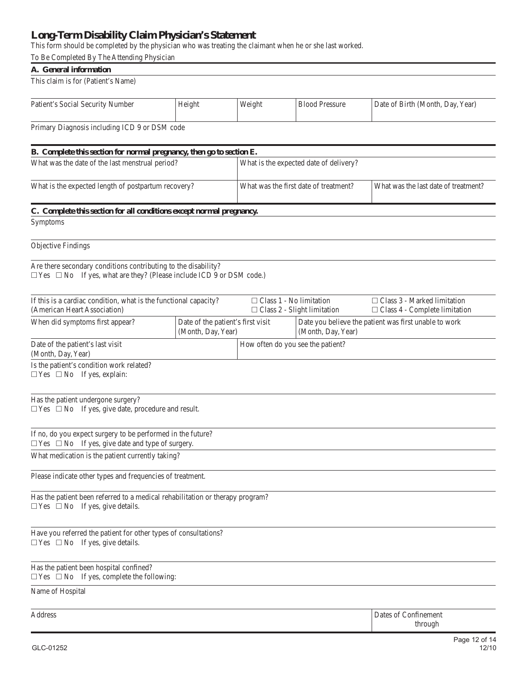## **Long-Term Disability Claim Physician's Statement**

This form should be completed by the physician who was treating the claimant when he or she last worked.

| To Be Completed By The Attending Physician                                                                                                        |                                                         |                                                                             |                                        |                                                                            |  |  |  |
|---------------------------------------------------------------------------------------------------------------------------------------------------|---------------------------------------------------------|-----------------------------------------------------------------------------|----------------------------------------|----------------------------------------------------------------------------|--|--|--|
| A. General information                                                                                                                            |                                                         |                                                                             |                                        |                                                                            |  |  |  |
| This claim is for (Patient's Name)                                                                                                                |                                                         |                                                                             |                                        |                                                                            |  |  |  |
| Patient's Social Security Number                                                                                                                  | Height                                                  | Weight                                                                      | <b>Blood Pressure</b>                  | Date of Birth (Month, Day, Year)                                           |  |  |  |
| Primary Diagnosis including ICD 9 or DSM code                                                                                                     |                                                         |                                                                             |                                        |                                                                            |  |  |  |
| B. Complete this section for normal pregnancy, then go to section E.                                                                              |                                                         |                                                                             |                                        |                                                                            |  |  |  |
| What was the date of the last menstrual period?                                                                                                   |                                                         |                                                                             | What is the expected date of delivery? |                                                                            |  |  |  |
|                                                                                                                                                   |                                                         |                                                                             |                                        |                                                                            |  |  |  |
| What is the expected length of postpartum recovery?                                                                                               |                                                         |                                                                             | What was the first date of treatment?  | What was the last date of treatment?                                       |  |  |  |
| C. Complete this section for all conditions except normal pregnancy.                                                                              |                                                         |                                                                             |                                        |                                                                            |  |  |  |
| Symptoms                                                                                                                                          |                                                         |                                                                             |                                        |                                                                            |  |  |  |
| <b>Objective Findings</b>                                                                                                                         |                                                         |                                                                             |                                        |                                                                            |  |  |  |
| Are there secondary conditions contributing to the disability?<br>$\Box$ Yes $\Box$ No If yes, what are they? (Please include ICD 9 or DSM code.) |                                                         |                                                                             |                                        |                                                                            |  |  |  |
| If this is a cardiac condition, what is the functional capacity?<br>(American Heart Association)                                                  |                                                         | $\Box$ Class 1 - No limitation                                              | $\Box$ Class 2 - Slight limitation     | $\Box$ Class 3 - Marked limitation<br>$\Box$ Class 4 - Complete limitation |  |  |  |
| When did symptoms first appear?                                                                                                                   | Date of the patient's first visit<br>(Month, Day, Year) | Date you believe the patient was first unable to work<br>(Month, Day, Year) |                                        |                                                                            |  |  |  |
| Date of the patient's last visit<br>(Month, Day, Year)                                                                                            |                                                         | How often do you see the patient?                                           |                                        |                                                                            |  |  |  |
| Is the patient's condition work related?<br>$\Box$ Yes $\Box$ No If yes, explain:                                                                 |                                                         |                                                                             |                                        |                                                                            |  |  |  |
| Has the patient undergone surgery?<br>$\Box$ Yes $\Box$ No If yes, give date, procedure and result.                                               |                                                         |                                                                             |                                        |                                                                            |  |  |  |
| If no, do you expect surgery to be performed in the future?<br>$\Box$ Yes $\Box$ No If yes, give date and type of surgery.                        |                                                         |                                                                             |                                        |                                                                            |  |  |  |
| What medication is the patient currently taking?                                                                                                  |                                                         |                                                                             |                                        |                                                                            |  |  |  |
| Please indicate other types and frequencies of treatment.                                                                                         |                                                         |                                                                             |                                        |                                                                            |  |  |  |
| Has the patient been referred to a medical rehabilitation or therapy program?<br>$\Box$ Yes $\Box$ No If yes, give details.                       |                                                         |                                                                             |                                        |                                                                            |  |  |  |
| Have you referred the patient for other types of consultations?<br>$\Box$ Yes $\Box$ No If yes, give details.                                     |                                                         |                                                                             |                                        |                                                                            |  |  |  |
| Has the patient been hospital confined?<br>$\Box$ Yes $\Box$ No If yes, complete the following:                                                   |                                                         |                                                                             |                                        |                                                                            |  |  |  |
| Name of Hospital                                                                                                                                  |                                                         |                                                                             |                                        |                                                                            |  |  |  |
| Address                                                                                                                                           |                                                         |                                                                             |                                        | Dates of Confinement<br>through                                            |  |  |  |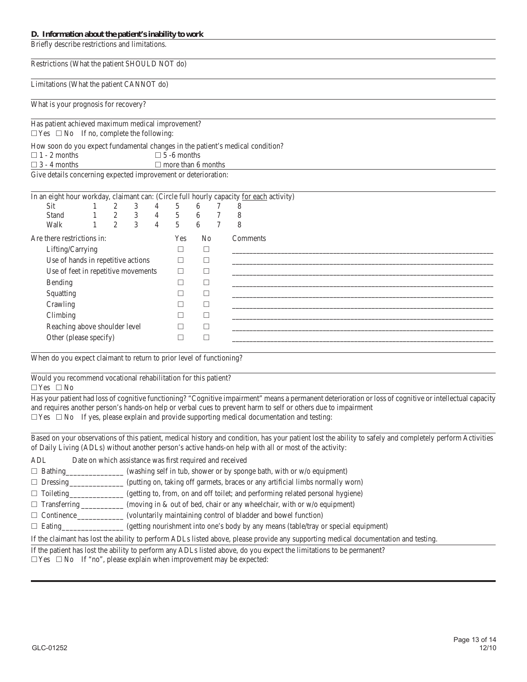#### **D. Information about the patient's inability to work**

Briefly describe restrictions and limitations. 

Restrictions (What the patient SHOULD NOT do)

Limitations (What the patient CANNOT do)

What is your prognosis for recovery?

Has patient achieved maximum medical improvement?

 $\Box$  Yes  $\Box$  No If no, complete the following:

How soon do you expect fundamental changes in the patient's medical condition?

 $\Box$  1 - 2 months  $\Box$  5 -6 months

 $\Box$  3 - 4 months  $\Box$  more than 6 months

Give details concerning expected improvement or deterioration:

|                                     | 2 | 3 | 4              | 5              | 6        |        | 8                                                                                                         |
|-------------------------------------|---|---|----------------|----------------|----------|--------|-----------------------------------------------------------------------------------------------------------|
|                                     | 2 | 3 | $\overline{4}$ | 5              | 6        | 7      | 8                                                                                                         |
|                                     | 2 | 3 | $\overline{4}$ | $\overline{5}$ | 6        |        | 8                                                                                                         |
| Are there restrictions in:          |   |   |                |                |          |        | Comments                                                                                                  |
| Lifting/Carrying                    |   |   |                |                | $\Box$   |        |                                                                                                           |
| Use of hands in repetitive actions  |   |   |                |                | $\Box$   |        |                                                                                                           |
| Use of feet in repetitive movements |   |   |                |                | $\Box$   |        |                                                                                                           |
| Bending                             |   |   |                |                | ⊏        |        |                                                                                                           |
| Squatting                           |   |   |                |                | $\Box$   |        |                                                                                                           |
| Crawling                            |   |   |                |                | □        |        |                                                                                                           |
| Climbing                            |   |   |                |                | П        |        |                                                                                                           |
| Reaching above shoulder level       |   |   |                |                |          |        |                                                                                                           |
| Other (please specify)              |   |   |                |                |          |        |                                                                                                           |
|                                     |   |   |                |                | Yes<br>П | □<br>⊏ | In an eight hour workday, claimant can: (Circle full hourly capacity for each activity)<br>N <sub>0</sub> |

When do you expect claimant to return to prior level of functioning?

Would you recommend vocational rehabilitation for this patient?

 $\Box$  Yes  $\Box$  No

Has your patient had loss of cognitive functioning? "Cognitive impairment" means a permanent deterioration or loss of cognitive or intellectual capacity and requires another person's hands-on help or verbal cues to prevent harm to self or others due to impairment  $\Box$  Yes  $\Box$  No If yes, please explain and provide supporting medical documentation and testing:

Based on your observations of this patient, medical history and condition, has your patient lost the ability to safely and completely perform Activities of Daily Living (ADLs) without another person's active hands-on help with all or most of the activity:

| ADL                 | Date on which assistance was first required and received                                                                            |
|---------------------|-------------------------------------------------------------------------------------------------------------------------------------|
| $\Box$ Bathing      | (washing self in tub, shower or by sponge bath, with or w/o equipment)                                                              |
| $\Box$ Dressing     | (putting on, taking off garmets, braces or any artificial limbs normally worn)                                                      |
| $\Box$ Toileting    | (getting to, from, on and off toilet; and performing related personal hygiene)                                                      |
| $\Box$ Transferring | (moving in $\&$ out of bed, chair or any wheelchair, with or $w/o$ equipment)                                                       |
| $\Box$ Continence   | (voluntarily maintaining control of bladder and bowel function)                                                                     |
| $\Box$ Eating       | (getting nourishment into one's body by any means (table/tray or special equipment)                                                 |
|                     | If the claimant has lost the ability to perform ADLs listed above, please provide any supporting medical documentation and testing. |

If the patient has lost the ability to perform any ADLs listed above, do you expect the limitations to be permanent?

 $\Box$  Yes  $\Box$  No If "no", please explain when improvement may be expected: